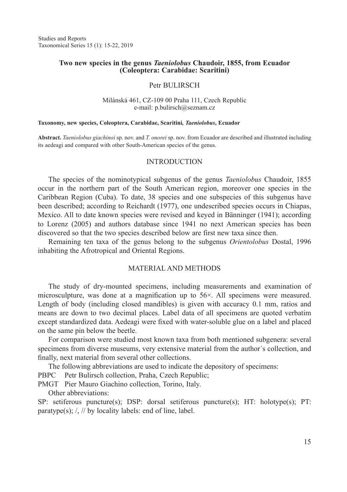# **Two new species in the genus** *Taeniolobus* **Chaudoir, 1855, from Ecuador (Coleoptera: Carabidae: Scaritini)**

## Petr BULIRSCH

### Milánská 461, CZ-109 00 Praha 111, Czech Republic e-mail: p.bulirsch@seznam.cz

#### **Taxonomy, new species, Coleoptera, Carabidae, Scaritini***, Taeniolobus***, Ecuador**

**Abstract.** *Taeniolobus giachinoi* sp. nov. and *T. onorei* sp. nov. from Ecuador are described and illustrated including its aedeagi and compared with other South-American species of the genus.

## INTRODUCTION

The species of the nominotypical subgenus of the genus *Taeniolobus* Chaudoir, 1855 occur in the northern part of the South American region, moreover one species in the Caribbean Region (Cuba). To date, 38 species and one subspecies of this subgenus have been described; according to Reichardt (1977), one undescribed species occurs in Chiapas, Mexico. All to date known species were revised and keyed in Bänninger (1941); according to Lorenz (2005) and authors database since 1941 no next American species has been discovered so that the two species described below are first new taxa since then.

Remaining ten taxa of the genus belong to the subgenus *Orientolobus* Dostal, 1996 inhabiting the Afrotropical and Oriental Regions.

# MATERIAL AND METHODS

The study of dry-mounted specimens, including measurements and examination of microsculpture, was done at a magnification up to 56×. All specimens were measured. Length of body (including closed mandibles) is given with accuracy 0.1 mm, ratios and means are down to two decimal places. Label data of all specimens are quoted verbatim except standardized data. Aedeagi were fixed with water-soluble glue on a label and placed on the same pin below the beetle.

For comparison were studied most known taxa from both mentioned subgenera: several specimens from diverse museums, very extensive material from the author´s collection, and finally, next material from several other collections.

The following abbreviations are used to indicate the depository of specimens:

PBPC Petr Bulirsch collection, Praha, Czech Republic;

PMGT Pier Mauro Giachino collection, Torino, Italy.

Other abbreviations:

SP: setiferous puncture(s); DSP: dorsal setiferous puncture(s); HT: holotype(s); PT: paratype(s);  $\frac{1}{2}$  // by locality labels: end of line, label.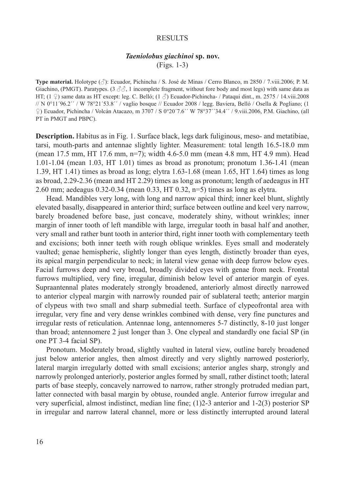#### **RESULTS**

# *Taeniolobus giachinoi* **sp. nov.** (Figs. 1-3)

**Type material.** Holotype (♂): Ecuador, Pichincha / S. José de Minas / Cerro Blanco, m 2850 / 7.viii.2006; P. M. Giachino, (PMGT). Paratypes. (3  $\beta\beta$ , 1 incomplete fragment, without fore body and most legs) with same data as HT;  $(1 \nsubseteq)$  same data as HT except: leg. C. Belló;  $(1 \nsubseteq)$  Ecuador-Pichincha- / Pataqui dint., m. 2575 / 14.viii.2008 // N 0°11´96.2´´ / W 78°21´53.8´´ / vaglio bosque // Ecuador 2008 / legg. Baviera, Belló / Osella & Pogliano; (1 ♀) Ecuador, Pichincha / Volcán Atacazo, m 3707 / S 0°20´7.6´´ W 78°37´´34.4´´ / 9.viii.2006, P.M. Giachino, (all PT in PMGT and PBPC).

**Description.** Habitus as in Fig. 1. Surface black, legs dark fuliginous, meso- and metatibiae, tarsi, mouth-parts and antennae slightly lighter. Measurement: total length 16.5-18.0 mm (mean 17.5 mm, HT 17.6 mm, n=7); width 4.6-5.0 mm (mean 4.8 mm, HT 4.9 mm). Head 1.01-1.04 (mean 1.03, HT 1.01) times as broad as pronotum; pronotum 1.36-1.41 (mean 1.39, HT 1.41) times as broad as long; elytra 1.63-1.68 (mean 1.65, HT 1.64) times as long as broad, 2.29-2.36 (mean and HT 2.29) times as long as pronotum; length of aedeagus in HT 2.60 mm; aedeagus 0.32-0.34 (mean 0.33, HT 0.32, n=5) times as long as elytra.

Head. Mandibles very long, with long and narrow apical third; inner keel blunt, slightly elevated basally, disappeared in anterior third; surface between outline and keel very narrow, barely broadened before base, just concave, moderately shiny, without wrinkles; inner margin of inner tooth of left mandible with large, irregular tooth in basal half and another, very small and rather bunt tooth in anterior third, right inner tooth with complementary teeth and excisions; both inner teeth with rough oblique wrinkles. Eyes small and moderately vaulted; genae hemispheric, slightly longer than eyes length, distinctly broader than eyes, its apical margin perpendicular to neck; in lateral view genae with deep furrow below eyes. Facial furrows deep and very broad, broadly divided eyes with genae from neck. Frontal furrows multiplied, very fine, irregular, diminish below level of anterior margin of eyes. Supraantennal plates moderately strongly broadened, anteriorly almost directly narrowed to anterior clypeal margin with narrowly rounded pair of sublateral teeth; anterior margin of clypeus with two small and sharp submedial teeth. Surface of clypeofrontal area with irregular, very fine and very dense wrinkles combined with dense, very fine punctures and irregular rests of reticulation. Antennae long, antennomeres 5-7 distinctly, 8-10 just longer than broad; antennomere 2 just longer than 3. One clypeal and standardly one facial SP (in one PT 3-4 facial SP).

Pronotum. Moderately broad, slightly vaulted in lateral view, outline barely broadened just below anterior angles, then almost directly and very slightly narrowed posteriorly, lateral margin irregularly dotted with small excisions; anterior angles sharp, strongly and narrowly prolonged anteriorly, posterior angles formed by small, rather distinct tooth; lateral parts of base steeply, concavely narrowed to narrow, rather strongly protruded median part, latter connected with basal margin by obtuse, rounded angle. Anterior furrow irregular and very superficial, almost indistinct, median line fine; (1)2-3 anterior and 1-2(3) posterior SP in irregular and narrow lateral channel, more or less distinctly interrupted around lateral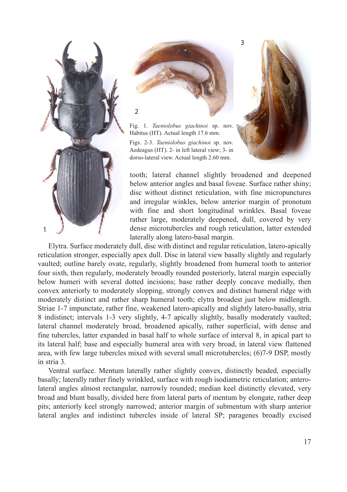



Fig. 1. *Taeniolobus giachinoi* sp. nov. Habitus (HT). Actual length 17.6 mm.

Figs. 2-3. *Taeniolobus giachinoi* sp. nov. Aedeagus (HT). 2- in left lateral view; 3- in dorso-lateral view. Actual length 2.60 mm.



tooth; lateral channel slightly broadened and deepened below anterior angles and basal foveae. Surface rather shiny; disc without distinct reticulation, with fine micropunctures and irregular winkles, below anterior margin of pronotum with fine and short longitudinal wrinkles. Basal foveae rather large, moderately deepened, dull, covered by very dense microtubercles and rough reticulation, latter extended laterally along latero-basal margin.

Elytra. Surface moderately dull, disc with distinct and regular reticulation, latero-apically reticulation stronger, especially apex dull. Disc in lateral view basally slightly and regularly vaulted; outline barely ovate, regularly, slightly broadened from humeral tooth to anterior four sixth, then regularly, moderately broadly rounded posteriorly, lateral margin especially below humeri with several dotted incisions; base rather deeply concave medially, then convex anteriorly to moderately slopping, strongly convex and distinct humeral ridge with moderately distinct and rather sharp humeral tooth; elytra broadest just below midlength. Striae 1-7 impunctate, rather fine, weakened latero-apically and slightly latero-basally, stria 8 indistinct; intervals 1-3 very slightly, 4-7 apically slightly, basally moderately vaulted; lateral channel moderately broad, broadened apically, rather superficial, with dense and fine tubercles, latter expanded in basal half to whole surface of interval 8, in apical part to its lateral half; base and especially humeral area with very broad, in lateral view flattened area, with few large tubercles mixed with several small microtubercles; (6)7-9 DSP, mostly in stria 3.

Ventral surface. Mentum laterally rather slightly convex, distinctly beaded, especially basally; laterally rather finely wrinkled, surface with rough isodiametric reticulation; anterolateral angles almost rectangular, narrowly rounded; median keel distinctly elevated, very broad and blunt basally, divided here from lateral parts of mentum by elongate, rather deep pits; anteriorly keel strongly narrowed; anterior margin of submentum with sharp anterior lateral angles and indistinct tubercles inside of lateral SP; paragenes broadly excised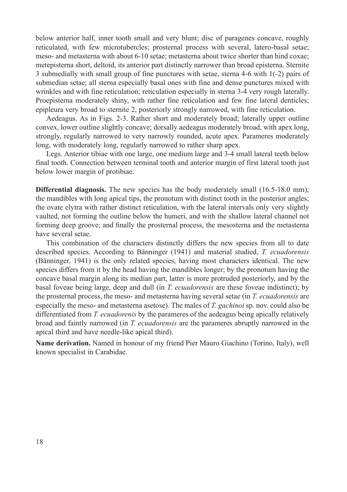below anterior half, inner tooth small and very blunt; disc of paragenes concave, roughly reticulated, with few microtubercles; prosternal process with several, latero-basal setae; meso- and metasterna with about 6-10 setae; metasterna about twice shorter than hind coxae; metepisterna short, deltoid, its anterior part distinctly narrower than broad episterna. Sternite 3 submedially with small group of fine punctures with setae, sterna 4-6 with 1(-2) pairs of submedian setae; all sterna especially basal ones with fine and dense punctures mixed with wrinkles and with fine reticulation; reticulation especially in sterna 3-4 very rough laterally. Proepisterna moderately shiny, with rather fine reticulation and few fine lateral denticles; epipleura very broad to sternite 2, posteriorly strongly narrowed, with fine reticulation.

Aedeagus. As in Figs. 2-3. Rather short and moderately broad; laterally upper outline convex, lower outline slightly concave; dorsally aedeagus moderately broad, with apex long, strongly, regularly narrowed to very narrowly rounded, acute apex. Parameres moderately long, with moderately long, regularly narrowed to rather sharp apex.

Legs. Anterior tibiae with one large, one medium large and 3-4 small lateral teeth below final tooth. Connection between terminal tooth and anterior margin of first lateral tooth just below lower margin of protibiae.

**Differential diagnosis.** The new species has the body moderately small (16.5-18.0 mm); the mandibles with long apical tips, the pronotum with distinct tooth in the posterior angles; the ovate elytra with rather distinct reticulation, with the lateral intervals only very slightly vaulted, not forming the outline below the humeri, and with the shallow lateral channel not forming deep groove; and finally the prosternal process, the mesosterna and the metasterna have several setae.

This combination of the characters distinctly differs the new species from all to date described species. According to Bänninger (1941) and material studied, *T. ecuadorensis* (Bänninger, 1941) is the only related species, having most characters identical. The new species differs from it by the head having the mandibles longer; by the pronotum having the concave basal margin along its median part, latter is more protruded posteriorly, and by the basal foveae being large, deep and dull (in *T. ecuadorensis* are these foveae indistinct); by the prosternal process, the meso- and metasterna having several setae (in *T. ecuadorensis* are especially the meso- and metasterna asetose). The males of *T. gachinoi* sp. nov. could also be differentiated from *T. ecuadorenis* by the parameres of the aedeagus being apically relatively broad and faintly narrowed (in *T. ecuadorensis* are the parameres abruptly narrowed in the apical third and have needle-like apical third).

**Name derivation.** Named in honour of my friend Pier Mauro Giachino (Torino, Italy), well known specialist in Carabidae.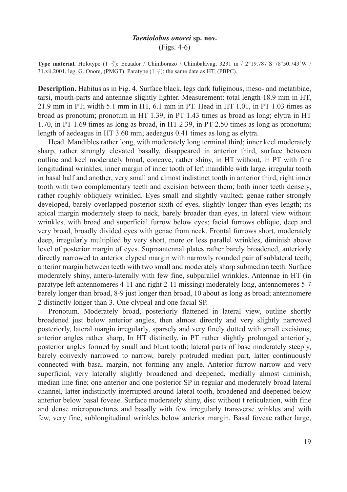### *Taeniolobus onorei* **sp. nov.** (Figs. 4-6)

**Type material.** Holotype  $(1 \text{ } \text{\ensuremath{\mathcal{S}}})$ : Ecuador / Chimborazo / Chimbalavag, 3231 m / 2°19.787´S 78°50.743´W / 31.xii.2001, leg. G. Onore, (PMGT). Paratype  $(1 \nsubseteq)$ : the same date as HT, (PBPC).

**Description.** Habitus as in Fig. 4. Surface black, legs dark fuliginous, meso- and metatibiae, tarsi, mouth-parts and antennae slightly lighter. Measurement: total length 18.9 mm in HT, 21.9 mm in PT; width 5.1 mm in HT, 6.1 mm in PT. Head in HT 1.01, in PT 1.03 times as broad as pronotum; pronotum in HT 1.39, in PT 1.43 times as broad as long; elytra in HT 1.70, in PT 1.69 times as long as broad, in HT 2.39, in PT 2.50 times as long as pronotum; length of aedeagus in HT 3.60 mm; aedeagus 0.41 times as long as elytra.

Head. Mandibles rather long, with moderately long terminal third; inner keel moderately sharp, rather strongly elevated basally, disappeared in anterior third, surface between outline and keel moderately broad, concave, rather shiny, in HT without, in PT with fine longitudinal wrinkles; inner margin of inner tooth of left mandible with large, irregular tooth in basal half and another, very small and almost indistinct tooth in anterior third, right inner tooth with two complementary teeth and excision between them; both inner teeth densely, rather roughly obliquely wrinkled. Eyes small and slightly vaulted; genae rather strongly developed, barely overlapped posterior sixth of eyes, slightly longer than eyes length; its apical margin moderately steep to neck, barely broader than eyes, in lateral view without wrinkles, with broad and superficial furrow below eyes; facial furrows oblique, deep and very broad, broadly divided eyes with genae from neck. Frontal furrows short, moderately deep, irregularly multiplied by very short, more or less parallel wrinkles, diminish above level of posterior margin of eyes. Supraantennal plates rather barely broadened, anteriorly directly narrowed to anterior clypeal margin with narrowly rounded pair of sublateral teeth; anterior margin between teeth with two small and moderately sharp submedian teeth. Surface moderately shiny, antero-laterally with few fine, subparallel wrinkles. Antennae in HT (in paratype left antennomeres 4-11 and right 2-11 missing) moderately long, antennomeres 5-7 barely longer than broad, 8-9 just longer than broad, 10 about as long as broad; antennomere 2 distinctly longer than 3. One clypeal and one facial SP.

Pronotum. Moderately broad, posteriorly flattened in lateral view, outline shortly broadened just below anterior angles, then almost directly and very slightly narrowed posteriorly, lateral margin irregularly, sparsely and very finely dotted with small excisions; anterior angles rather sharp, In HT distinctly, in PT rather slightly prolonged anteriorly, posterior angles formed by small and blunt tooth; lateral parts of base moderately steeply, barely convexly narrowed to narrow, barely protruded median part, latter continuously connected with basal margin, not forming any angle. Anterior furrow narrow and very superficial, very laterally slightly broadened and deepened, medially almost diminish; median line fine; one anterior and one posterior SP in regular and moderately broad lateral channel, latter indistinctly interrupted around lateral tooth, broadened and deepened below anterior below basal foveae. Surface moderately shiny, disc without t reticulation, with fine and dense micropunctures and basally with few irregularly transverse winkles and with few, very fine, sublongitudinal wrinkles below anterior margin. Basal foveae rather large,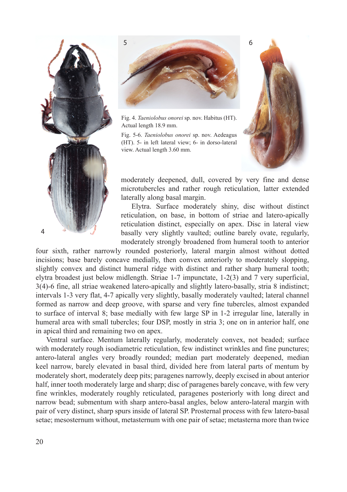



Fig. 4. *Taeniolobus onorei* sp. nov. Habitus (HT). Actual length 18.9 mm.

Fig. 5-6. *Taeniolobus onorei* sp. nov. Aedeagus (HT). 5- in left lateral view; 6- in dorso-lateral view. Actual length 3.60 mm.



moderately deepened, dull, covered by very fine and dense microtubercles and rather rough reticulation, latter extended laterally along basal margin.

Elytra. Surface moderately shiny, disc without distinct reticulation, on base, in bottom of striae and latero-apically reticulation distinct, especially on apex. Disc in lateral view basally very slightly vaulted; outline barely ovate, regularly, moderately strongly broadened from humeral tooth to anterior

four sixth, rather narrowly rounded posteriorly, lateral margin almost without dotted incisions; base barely concave medially, then convex anteriorly to moderately slopping, slightly convex and distinct humeral ridge with distinct and rather sharp humeral tooth; elytra broadest just below midlength. Striae 1-7 impunctate, 1-2(3) and 7 very superficial, 3(4)-6 fine, all striae weakened latero-apically and slightly latero-basally, stria 8 indistinct; intervals 1-3 very flat, 4-7 apically very slightly, basally moderately vaulted; lateral channel formed as narrow and deep groove, with sparse and very fine tubercles, almost expanded to surface of interval 8; base medially with few large SP in 1-2 irregular line, laterally in humeral area with small tubercles; four DSP, mostly in stria 3; one on in anterior half, one in apical third and remaining two on apex.

Ventral surface. Mentum laterally regularly, moderately convex, not beaded; surface with moderately rough isodiametric reticulation, few indistinct wrinkles and fine punctures; antero-lateral angles very broadly rounded; median part moderately deepened, median keel narrow, barely elevated in basal third, divided here from lateral parts of mentum by moderately short, moderately deep pits; paragenes narrowly, deeply excised in about anterior half, inner tooth moderately large and sharp; disc of paragenes barely concave, with few very fine wrinkles, moderately roughly reticulated, paragenes posteriorly with long direct and narrow bead; submentum with sharp antero-basal angles, below antero-lateral margin with pair of very distinct, sharp spurs inside of lateral SP. Prosternal process with few latero-basal setae; mesosternum without, metasternum with one pair of setae; metasterna more than twice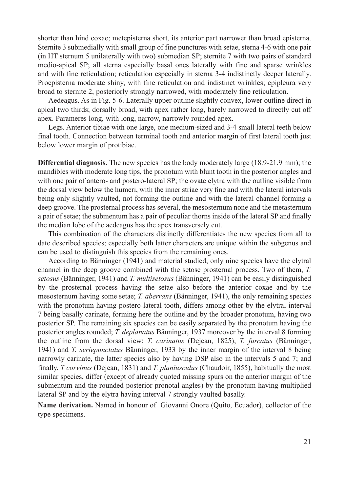shorter than hind coxae; metepisterna short, its anterior part narrower than broad episterna. Sternite 3 submedially with small group of fine punctures with setae, sterna 4-6 with one pair (in HT sternum 5 unilaterally with two) submedian SP; sternite 7 with two pairs of standard medio-apical SP; all sterna especially basal ones laterally with fine and sparse wrinkles and with fine reticulation; reticulation especially in sterna 3-4 indistinctly deeper laterally. Proepisterna moderate shiny, with fine reticulation and indistinct wrinkles; epipleura very broad to sternite 2, posteriorly strongly narrowed, with moderately fine reticulation.

Aedeagus. As in Fig. 5-6. Laterally upper outline slightly convex, lower outline direct in apical two thirds; dorsally broad, with apex rather long, barely narrowed to directly cut off apex. Parameres long, with long, narrow, narrowly rounded apex.

Legs. Anterior tibiae with one large, one medium-sized and 3-4 small lateral teeth below final tooth. Connection between terminal tooth and anterior margin of first lateral tooth just below lower margin of protibiae.

**Differential diagnosis.** The new species has the body moderately large (18.9-21.9 mm); the mandibles with moderate long tips, the pronotum with blunt tooth in the posterior angles and with one pair of antero- and postero-lateral SP; the ovate elytra with the outline visible from the dorsal view below the humeri, with the inner striae very fine and with the lateral intervals being only slightly vaulted, not forming the outline and with the lateral channel forming a deep groove. The prosternal process has several, the mesosternum none and the metasternum a pair of setae; the submentum has a pair of peculiar thorns inside of the lateral SP and finally the median lobe of the aedeagus has the apex transversely cut.

This combination of the characters distinctly differentiates the new species from all to date described species; especially both latter characters are unique within the subgenus and can be used to distinguish this species from the remaining ones.

According to Bänninger (1941) and material studied, only nine species have the elytral channel in the deep groove combined with the setose prosternal process. Two of them, *T. setosus* (Bänninger, 1941) and *T. multisetosus* (Bänninger, 1941) can be easily distinguished by the prosternal process having the setae also before the anterior coxae and by the mesosternum having some setae; *T. aberrans* (Bänninger, 1941), the only remaining species with the pronotum having postero-lateral tooth, differs among other by the elytral interval 7 being basally carinate, forming here the outline and by the broader pronotum, having two posterior SP. The remaining six species can be easily separated by the pronotum having the posterior angles rounded; *T. deplanatus* Bänninger, 1937 moreover by the interval 8 forming the outline from the dorsal view; *T. carinatus* (Dejean, 1825), *T. furcatus* (Bänninger, 1941) and *T. seriepunctatus* Bänninger, 1933 by the inner margin of the interval 8 being narrowly carinate, the latter species also by having DSP also in the intervals 5 and 7; and finally, *T corvinus* (Dejean, 1831) and *T. planiusculus* (Chaudoir, 1855), habitually the most similar species, differ (except of already quoted missing spurs on the anterior margin of the submentum and the rounded posterior pronotal angles) by the pronotum having multiplied lateral SP and by the elytra having interval 7 strongly vaulted basally.

**Name derivation.** Named in honour of Giovanni Onore (Quito, Ecuador), collector of the type specimens.